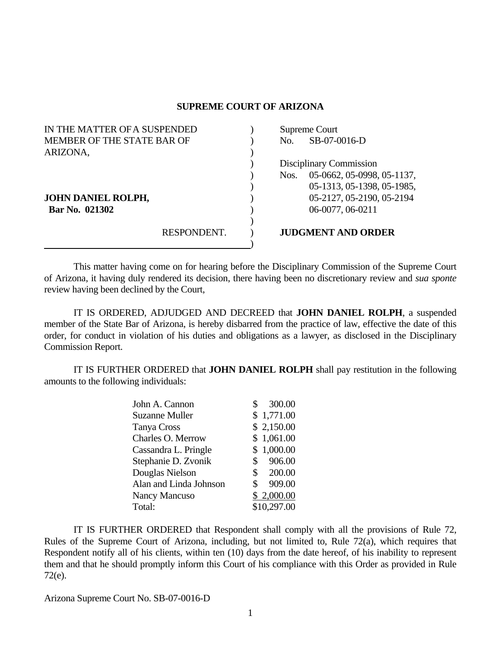## **SUPREME COURT OF ARIZONA**

| IN THE MATTER OF A SUSPENDED |             | Supreme Court |                            |  |
|------------------------------|-------------|---------------|----------------------------|--|
| MEMBER OF THE STATE BAR OF   |             | No.           | SB-07-0016-D               |  |
| ARIZONA,                     |             |               |                            |  |
|                              |             |               | Disciplinary Commission    |  |
|                              |             | Nos.          | 05-0662, 05-0998, 05-1137, |  |
|                              |             |               | 05-1313, 05-1398, 05-1985, |  |
| <b>JOHN DANIEL ROLPH,</b>    |             |               | 05-2127, 05-2190, 05-2194  |  |
| Bar No. 021302               |             |               | 06-0077, 06-0211           |  |
|                              |             |               |                            |  |
|                              | RESPONDENT. |               | <b>JUDGMENT AND ORDER</b>  |  |
|                              |             |               |                            |  |

 This matter having come on for hearing before the Disciplinary Commission of the Supreme Court of Arizona, it having duly rendered its decision, there having been no discretionary review and *sua sponte* review having been declined by the Court,

 IT IS ORDERED, ADJUDGED AND DECREED that **JOHN DANIEL ROLPH**, a suspended member of the State Bar of Arizona, is hereby disbarred from the practice of law, effective the date of this order, for conduct in violation of his duties and obligations as a lawyer, as disclosed in the Disciplinary Commission Report.

 IT IS FURTHER ORDERED that **JOHN DANIEL ROLPH** shall pay restitution in the following amounts to the following individuals:

| John A. Cannon         | 300.00       |
|------------------------|--------------|
| Suzanne Muller         | \$1,771.00   |
| <b>Tanya Cross</b>     | \$2,150.00   |
| Charles O. Merrow      | \$1,061.00   |
| Cassandra L. Pringle   | \$1,000.00   |
| Stephanie D. Zvonik    | \$<br>906.00 |
| Douglas Nielson        | \$<br>200.00 |
| Alan and Linda Johnson | \$<br>909.00 |
| Nancy Mancuso          | \$2,000.00   |
| Total:                 | \$10,297.00  |

 IT IS FURTHER ORDERED that Respondent shall comply with all the provisions of Rule 72, Rules of the Supreme Court of Arizona, including, but not limited to, Rule 72(a), which requires that Respondent notify all of his clients, within ten (10) days from the date hereof, of his inability to represent them and that he should promptly inform this Court of his compliance with this Order as provided in Rule 72(e).

Arizona Supreme Court No. SB-07-0016-D